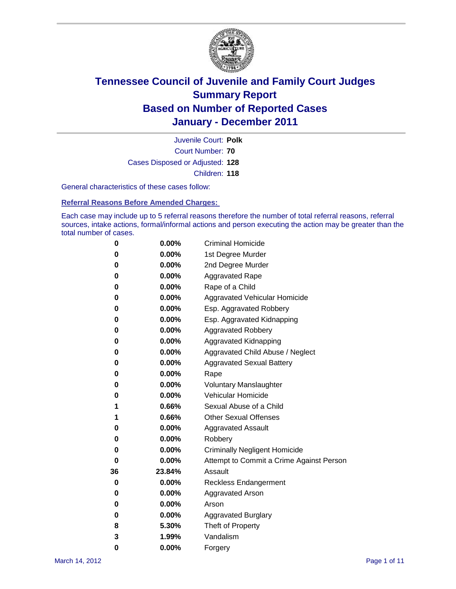

Court Number: **70** Juvenile Court: **Polk** Cases Disposed or Adjusted: **128** Children: **118**

General characteristics of these cases follow:

**Referral Reasons Before Amended Charges:** 

Each case may include up to 5 referral reasons therefore the number of total referral reasons, referral sources, intake actions, formal/informal actions and person executing the action may be greater than the total number of cases.

| 0  | 0.00%    | <b>Criminal Homicide</b>                 |
|----|----------|------------------------------------------|
| 0  | 0.00%    | 1st Degree Murder                        |
| 0  | 0.00%    | 2nd Degree Murder                        |
| 0  | 0.00%    | <b>Aggravated Rape</b>                   |
| 0  | 0.00%    | Rape of a Child                          |
| 0  | 0.00%    | Aggravated Vehicular Homicide            |
| 0  | 0.00%    | Esp. Aggravated Robbery                  |
| 0  | 0.00%    | Esp. Aggravated Kidnapping               |
| 0  | 0.00%    | <b>Aggravated Robbery</b>                |
| 0  | 0.00%    | Aggravated Kidnapping                    |
| 0  | 0.00%    | Aggravated Child Abuse / Neglect         |
| 0  | 0.00%    | <b>Aggravated Sexual Battery</b>         |
| 0  | 0.00%    | Rape                                     |
| 0  | 0.00%    | <b>Voluntary Manslaughter</b>            |
| 0  | 0.00%    | Vehicular Homicide                       |
| 1  | 0.66%    | Sexual Abuse of a Child                  |
| 1  | 0.66%    | <b>Other Sexual Offenses</b>             |
| 0  | 0.00%    | <b>Aggravated Assault</b>                |
| 0  | $0.00\%$ | Robbery                                  |
| 0  | 0.00%    | <b>Criminally Negligent Homicide</b>     |
| 0  | 0.00%    | Attempt to Commit a Crime Against Person |
| 36 | 23.84%   | Assault                                  |
| 0  | 0.00%    | <b>Reckless Endangerment</b>             |
| 0  | 0.00%    | <b>Aggravated Arson</b>                  |
| 0  | 0.00%    | Arson                                    |
| 0  | 0.00%    | <b>Aggravated Burglary</b>               |
| 8  | 5.30%    | Theft of Property                        |
| 3  | 1.99%    | Vandalism                                |
| 0  | 0.00%    | Forgery                                  |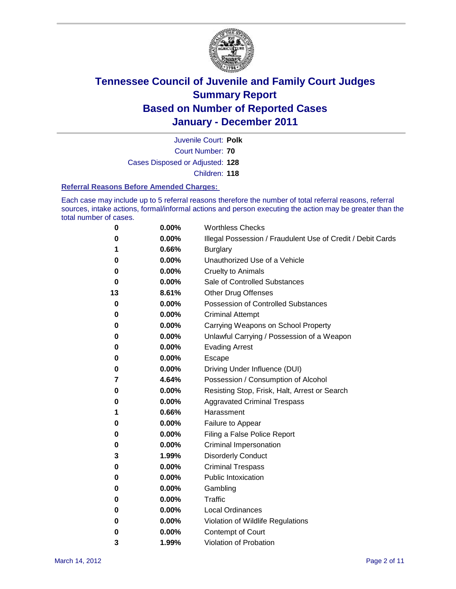

Court Number: **70** Juvenile Court: **Polk** Cases Disposed or Adjusted: **128** Children: **118**

#### **Referral Reasons Before Amended Charges:**

Each case may include up to 5 referral reasons therefore the number of total referral reasons, referral sources, intake actions, formal/informal actions and person executing the action may be greater than the total number of cases.

| 0  | 0.00%    | <b>Worthless Checks</b>                                     |
|----|----------|-------------------------------------------------------------|
| 0  | 0.00%    | Illegal Possession / Fraudulent Use of Credit / Debit Cards |
| 1  | 0.66%    | <b>Burglary</b>                                             |
| 0  | 0.00%    | Unauthorized Use of a Vehicle                               |
| 0  | 0.00%    | <b>Cruelty to Animals</b>                                   |
| 0  | 0.00%    | Sale of Controlled Substances                               |
| 13 | 8.61%    | <b>Other Drug Offenses</b>                                  |
| 0  | 0.00%    | <b>Possession of Controlled Substances</b>                  |
| 0  | 0.00%    | <b>Criminal Attempt</b>                                     |
| 0  | 0.00%    | Carrying Weapons on School Property                         |
| 0  | 0.00%    | Unlawful Carrying / Possession of a Weapon                  |
| 0  | 0.00%    | <b>Evading Arrest</b>                                       |
| 0  | 0.00%    | Escape                                                      |
| 0  | 0.00%    | Driving Under Influence (DUI)                               |
| 7  | 4.64%    | Possession / Consumption of Alcohol                         |
| 0  | 0.00%    | Resisting Stop, Frisk, Halt, Arrest or Search               |
| 0  | 0.00%    | <b>Aggravated Criminal Trespass</b>                         |
| 1  | 0.66%    | Harassment                                                  |
| 0  | 0.00%    | Failure to Appear                                           |
| 0  | 0.00%    | Filing a False Police Report                                |
| 0  | 0.00%    | Criminal Impersonation                                      |
| 3  | 1.99%    | <b>Disorderly Conduct</b>                                   |
| 0  | 0.00%    | <b>Criminal Trespass</b>                                    |
| 0  | 0.00%    | <b>Public Intoxication</b>                                  |
| 0  | 0.00%    | Gambling                                                    |
| 0  | 0.00%    | <b>Traffic</b>                                              |
| 0  | 0.00%    | <b>Local Ordinances</b>                                     |
| 0  | 0.00%    | Violation of Wildlife Regulations                           |
| 0  | $0.00\%$ | Contempt of Court                                           |
| 3  | 1.99%    | Violation of Probation                                      |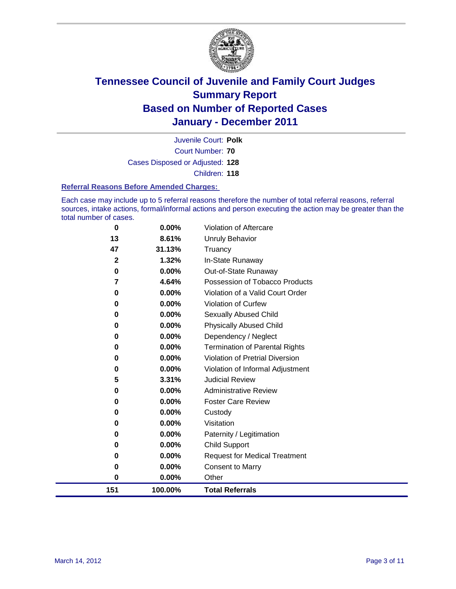

Court Number: **70** Juvenile Court: **Polk** Cases Disposed or Adjusted: **128** Children: **118**

#### **Referral Reasons Before Amended Charges:**

Each case may include up to 5 referral reasons therefore the number of total referral reasons, referral sources, intake actions, formal/informal actions and person executing the action may be greater than the total number of cases.

| 151          | 100.00% | <b>Total Referrals</b>                 |
|--------------|---------|----------------------------------------|
| $\bf{0}$     | 0.00%   | Other                                  |
| 0            | 0.00%   | <b>Consent to Marry</b>                |
| 0            | 0.00%   | <b>Request for Medical Treatment</b>   |
| 0            | 0.00%   | <b>Child Support</b>                   |
| 0            | 0.00%   | Paternity / Legitimation               |
| 0            | 0.00%   | Visitation                             |
| 0            | 0.00%   | Custody                                |
| 0            | 0.00%   | <b>Foster Care Review</b>              |
| 0            | 0.00%   | <b>Administrative Review</b>           |
| 5            | 3.31%   | <b>Judicial Review</b>                 |
| 0            | 0.00%   | Violation of Informal Adjustment       |
| 0            | 0.00%   | <b>Violation of Pretrial Diversion</b> |
| 0            | 0.00%   | Termination of Parental Rights         |
| 0            | 0.00%   | Dependency / Neglect                   |
| 0            | 0.00%   | <b>Physically Abused Child</b>         |
| 0            | 0.00%   | <b>Sexually Abused Child</b>           |
| 0            | 0.00%   | Violation of Curfew                    |
| $\bf{0}$     | 0.00%   | Violation of a Valid Court Order       |
| 7            | 4.64%   | Possession of Tobacco Products         |
| 0            | 0.00%   | Out-of-State Runaway                   |
| $\mathbf{2}$ | 1.32%   | In-State Runaway                       |
| 47           | 31.13%  | <b>Unruly Behavior</b><br>Truancy      |
| 13           | 8.61%   |                                        |
| 0            | 0.00%   | Violation of Aftercare                 |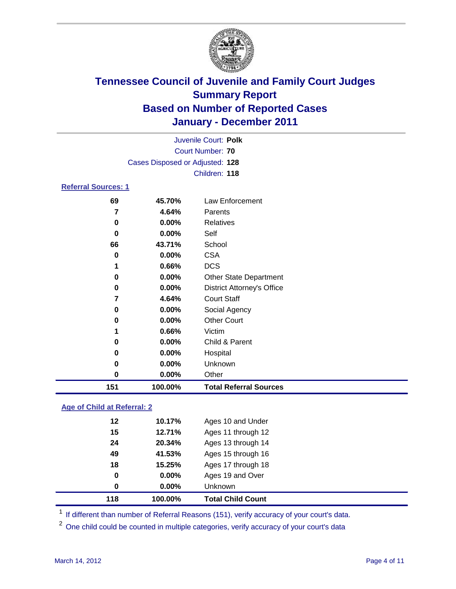

| Juvenile Court: Polk       |                                 |                                   |  |  |  |
|----------------------------|---------------------------------|-----------------------------------|--|--|--|
| Court Number: 70           |                                 |                                   |  |  |  |
|                            | Cases Disposed or Adjusted: 128 |                                   |  |  |  |
|                            |                                 | Children: 118                     |  |  |  |
| <b>Referral Sources: 1</b> |                                 |                                   |  |  |  |
| 69                         | 45.70%                          | Law Enforcement                   |  |  |  |
| 7                          | 4.64%                           | Parents                           |  |  |  |
| 0                          | $0.00\%$                        | Relatives                         |  |  |  |
| 0                          | $0.00\%$                        | Self                              |  |  |  |
| 66                         | 43.71%                          | School                            |  |  |  |
| 0                          | $0.00\%$                        | <b>CSA</b>                        |  |  |  |
| 1                          | 0.66%                           | <b>DCS</b>                        |  |  |  |
| 0                          | $0.00\%$                        | <b>Other State Department</b>     |  |  |  |
| 0                          | $0.00\%$                        | <b>District Attorney's Office</b> |  |  |  |
| 7                          | 4.64%                           | <b>Court Staff</b>                |  |  |  |
| 0                          | $0.00\%$                        | Social Agency                     |  |  |  |
| 0                          | $0.00\%$                        | <b>Other Court</b>                |  |  |  |
| 1                          | 0.66%                           | Victim                            |  |  |  |
| 0                          | $0.00\%$                        | Child & Parent                    |  |  |  |
| 0                          | $0.00\%$                        | Hospital                          |  |  |  |

 **0.00%** Unknown **0.00%** Other **100.00% Total Referral Sources**

### **Age of Child at Referral: 2**

| 118 | 100.00%  | <b>Total Child Count</b> |  |
|-----|----------|--------------------------|--|
| 0   | $0.00\%$ | Unknown                  |  |
| 0   | 0.00%    | Ages 19 and Over         |  |
| 18  | 15.25%   | Ages 17 through 18       |  |
| 49  | 41.53%   | Ages 15 through 16       |  |
| 24  | 20.34%   | Ages 13 through 14       |  |
| 15  | 12.71%   | Ages 11 through 12       |  |
| 12  | 10.17%   | Ages 10 and Under        |  |
|     |          |                          |  |

<sup>1</sup> If different than number of Referral Reasons (151), verify accuracy of your court's data.

<sup>2</sup> One child could be counted in multiple categories, verify accuracy of your court's data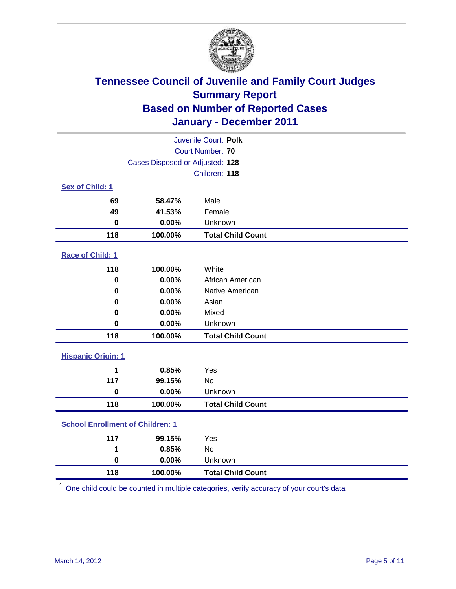

| Juvenile Court: Polk                    |                                 |                          |  |  |
|-----------------------------------------|---------------------------------|--------------------------|--|--|
| <b>Court Number: 70</b>                 |                                 |                          |  |  |
|                                         | Cases Disposed or Adjusted: 128 |                          |  |  |
|                                         |                                 | Children: 118            |  |  |
| Sex of Child: 1                         |                                 |                          |  |  |
| 69                                      | 58.47%                          | Male                     |  |  |
| 49                                      | 41.53%                          | Female                   |  |  |
| $\mathbf 0$                             | 0.00%                           | Unknown                  |  |  |
| 118                                     | 100.00%                         | <b>Total Child Count</b> |  |  |
| Race of Child: 1                        |                                 |                          |  |  |
| 118                                     | 100.00%                         | White                    |  |  |
| $\mathbf 0$                             | 0.00%                           | African American         |  |  |
| $\mathbf 0$                             | 0.00%                           | Native American          |  |  |
| 0                                       | 0.00%                           | Asian                    |  |  |
| 0                                       | 0.00%                           | Mixed                    |  |  |
| 0                                       | 0.00%                           | Unknown                  |  |  |
| 118                                     | 100.00%                         | <b>Total Child Count</b> |  |  |
| <b>Hispanic Origin: 1</b>               |                                 |                          |  |  |
| 1                                       | 0.85%                           | Yes                      |  |  |
| 117                                     | 99.15%                          | No                       |  |  |
| $\mathbf 0$                             | 0.00%                           | Unknown                  |  |  |
| 118                                     | 100.00%                         | <b>Total Child Count</b> |  |  |
| <b>School Enrollment of Children: 1</b> |                                 |                          |  |  |
| 117                                     | 99.15%                          | Yes                      |  |  |
| 1                                       | 0.85%                           | No                       |  |  |
| $\mathbf 0$                             | 0.00%                           | Unknown                  |  |  |
| 118                                     | 100.00%                         | <b>Total Child Count</b> |  |  |

One child could be counted in multiple categories, verify accuracy of your court's data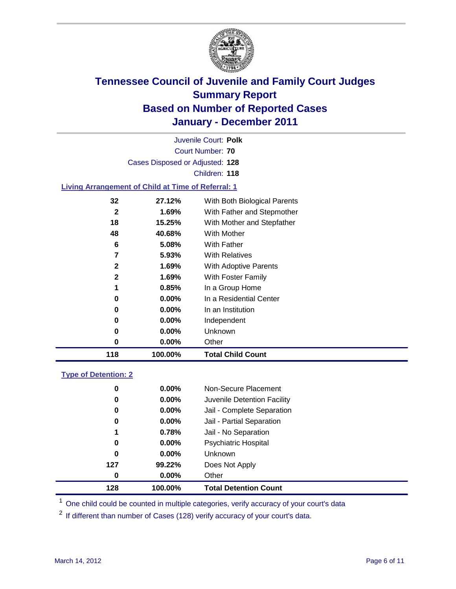

Court Number: **70** Juvenile Court: **Polk** Cases Disposed or Adjusted: **128** Children: **118**

### **Living Arrangement of Child at Time of Referral: 1**

| 118          | 100.00%  | <b>Total Child Count</b>     |
|--------------|----------|------------------------------|
| 0            | 0.00%    | Other                        |
| 0            | $0.00\%$ | Unknown                      |
| 0            | $0.00\%$ | Independent                  |
| 0            | $0.00\%$ | In an Institution            |
| 0            | $0.00\%$ | In a Residential Center      |
| 1            | 0.85%    | In a Group Home              |
| $\mathbf{2}$ | 1.69%    | With Foster Family           |
| $\mathbf{2}$ | 1.69%    | With Adoptive Parents        |
| 7            | 5.93%    | <b>With Relatives</b>        |
| 6            | 5.08%    | With Father                  |
| 48           | 40.68%   | With Mother                  |
| 18           | 15.25%   | With Mother and Stepfather   |
| 2            | $1.69\%$ | With Father and Stepmother   |
| 32           | 27.12%   | With Both Biological Parents |
|              |          |                              |

#### **Type of Detention: 2**

| 128 | 100.00%  | <b>Total Detention Count</b> |  |
|-----|----------|------------------------------|--|
| 0   | 0.00%    | Other                        |  |
| 127 | 99.22%   | Does Not Apply               |  |
| 0   | $0.00\%$ | <b>Unknown</b>               |  |
| 0   | $0.00\%$ | Psychiatric Hospital         |  |
| 1   | 0.78%    | Jail - No Separation         |  |
| 0   | $0.00\%$ | Jail - Partial Separation    |  |
| 0   | 0.00%    | Jail - Complete Separation   |  |
| 0   | 0.00%    | Juvenile Detention Facility  |  |
| 0   | $0.00\%$ | Non-Secure Placement         |  |
|     |          |                              |  |

<sup>1</sup> One child could be counted in multiple categories, verify accuracy of your court's data

<sup>2</sup> If different than number of Cases (128) verify accuracy of your court's data.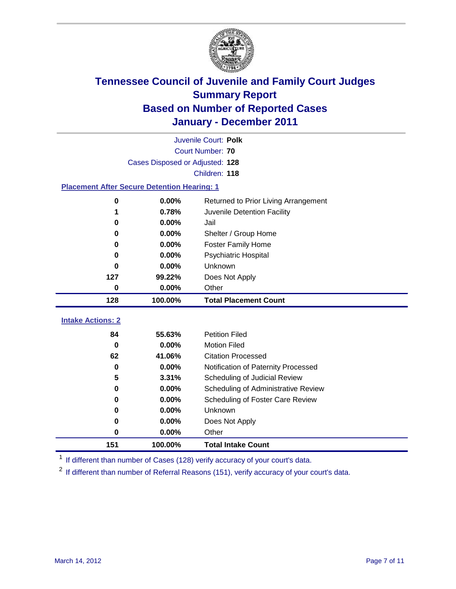

|                                                    | Juvenile Court: Polk            |                                      |  |  |  |
|----------------------------------------------------|---------------------------------|--------------------------------------|--|--|--|
|                                                    | Court Number: 70                |                                      |  |  |  |
|                                                    | Cases Disposed or Adjusted: 128 |                                      |  |  |  |
|                                                    |                                 | Children: 118                        |  |  |  |
| <b>Placement After Secure Detention Hearing: 1</b> |                                 |                                      |  |  |  |
| 0                                                  | 0.00%                           | Returned to Prior Living Arrangement |  |  |  |
| 1                                                  | 0.78%                           | Juvenile Detention Facility          |  |  |  |
| 0                                                  | 0.00%                           | Jail                                 |  |  |  |
| 0                                                  | 0.00%                           | Shelter / Group Home                 |  |  |  |
| 0                                                  | 0.00%                           | <b>Foster Family Home</b>            |  |  |  |
| 0                                                  | 0.00%                           | Psychiatric Hospital                 |  |  |  |
| 0                                                  | 0.00%                           | Unknown                              |  |  |  |
| 127                                                | 99.22%                          | Does Not Apply                       |  |  |  |
| 0                                                  | $0.00\%$                        | Other                                |  |  |  |
| 128                                                | 100.00%                         | <b>Total Placement Count</b>         |  |  |  |
|                                                    |                                 |                                      |  |  |  |
| <b>Intake Actions: 2</b>                           |                                 |                                      |  |  |  |
| 84                                                 | 55.63%                          | <b>Petition Filed</b>                |  |  |  |
| $\bf{0}$                                           | 0.00%                           | <b>Motion Filed</b>                  |  |  |  |
| 62                                                 | 41.06%                          | <b>Citation Processed</b>            |  |  |  |
| $\bf{0}$                                           | 0.00%                           | Notification of Paternity Processed  |  |  |  |
| 5                                                  | 3.31%                           | Scheduling of Judicial Review        |  |  |  |
| 0                                                  | 0.00%                           | Scheduling of Administrative Review  |  |  |  |
| 0                                                  | 0.00%                           | Scheduling of Foster Care Review     |  |  |  |
| $\bf{0}$                                           | 0.00%                           | Unknown                              |  |  |  |
| 0                                                  | 0.00%                           | Does Not Apply                       |  |  |  |
| 0                                                  | 0.00%                           | Other                                |  |  |  |
| 151                                                | 100.00%                         | <b>Total Intake Count</b>            |  |  |  |

<sup>1</sup> If different than number of Cases (128) verify accuracy of your court's data.

<sup>2</sup> If different than number of Referral Reasons (151), verify accuracy of your court's data.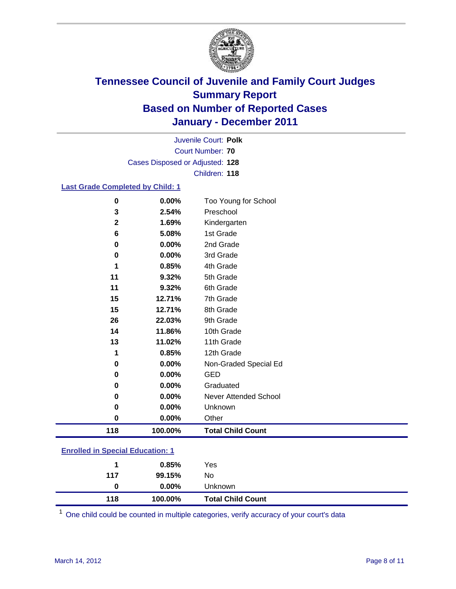

Court Number: **70** Juvenile Court: **Polk** Cases Disposed or Adjusted: **128** Children: **118**

### **Last Grade Completed by Child: 1**

| 118          | 100.00% | <b>Total Child Count</b>     |
|--------------|---------|------------------------------|
| $\bf{0}$     | 0.00%   | Other                        |
| 0            | 0.00%   | Unknown                      |
| 0            | 0.00%   | <b>Never Attended School</b> |
| 0            | 0.00%   | Graduated                    |
| 0            | 0.00%   | <b>GED</b>                   |
| 0            | 0.00%   | Non-Graded Special Ed        |
| 1            | 0.85%   | 12th Grade                   |
| 13           | 11.02%  | 11th Grade                   |
| 14           | 11.86%  | 10th Grade                   |
| 26           | 22.03%  | 9th Grade                    |
| 15           | 12.71%  | 8th Grade                    |
| 15           | 12.71%  | 7th Grade                    |
| 11           | 9.32%   | 6th Grade                    |
| 11           | 9.32%   | 5th Grade                    |
| 1            | 0.85%   | 4th Grade                    |
| 0            | 0.00%   | 3rd Grade                    |
| 0            | 0.00%   | 2nd Grade                    |
| 6            | 5.08%   | 1st Grade                    |
| $\mathbf{2}$ | 1.69%   | Kindergarten                 |
| 3            | 2.54%   | Preschool                    |
| $\bf{0}$     | 0.00%   | Too Young for School         |

### **Enrolled in Special Education: 1**

| 118 | 100.00%  | <b>Total Child Count</b> |
|-----|----------|--------------------------|
| 0   | $0.00\%$ | <b>Unknown</b>           |
| 117 | 99.15%   | No                       |
|     | 0.85%    | Yes                      |
|     |          |                          |

One child could be counted in multiple categories, verify accuracy of your court's data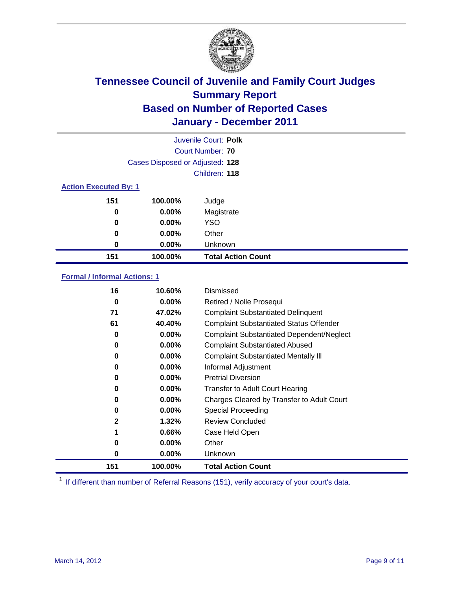

|                              | Juvenile Court: Polk            |                           |  |  |  |
|------------------------------|---------------------------------|---------------------------|--|--|--|
|                              | Court Number: 70                |                           |  |  |  |
|                              | Cases Disposed or Adjusted: 128 |                           |  |  |  |
|                              |                                 | Children: 118             |  |  |  |
| <b>Action Executed By: 1</b> |                                 |                           |  |  |  |
| 151                          | 100.00%                         | Judge                     |  |  |  |
| $\bf{0}$                     | $0.00\%$                        | Magistrate                |  |  |  |
| $\bf{0}$                     | 0.00%                           | <b>YSO</b>                |  |  |  |
| 0                            | 0.00%                           | Other                     |  |  |  |
| 0                            | 0.00%                           | Unknown                   |  |  |  |
| 151                          | 100.00%                         | <b>Total Action Count</b> |  |  |  |

### **Formal / Informal Actions: 1**

| 16  | 10.60%   | Dismissed                                        |
|-----|----------|--------------------------------------------------|
| 0   | $0.00\%$ | Retired / Nolle Prosequi                         |
| 71  | 47.02%   | <b>Complaint Substantiated Delinquent</b>        |
| 61  | 40.40%   | <b>Complaint Substantiated Status Offender</b>   |
| 0   | $0.00\%$ | <b>Complaint Substantiated Dependent/Neglect</b> |
| 0   | $0.00\%$ | <b>Complaint Substantiated Abused</b>            |
| 0   | $0.00\%$ | <b>Complaint Substantiated Mentally III</b>      |
| 0   | $0.00\%$ | Informal Adjustment                              |
| 0   | $0.00\%$ | <b>Pretrial Diversion</b>                        |
| 0   | $0.00\%$ | <b>Transfer to Adult Court Hearing</b>           |
| 0   | $0.00\%$ | Charges Cleared by Transfer to Adult Court       |
| 0   | $0.00\%$ | Special Proceeding                               |
| 2   | 1.32%    | <b>Review Concluded</b>                          |
| 1   | 0.66%    | Case Held Open                                   |
| 0   | $0.00\%$ | Other                                            |
| 0   | $0.00\%$ | Unknown                                          |
| 151 | 100.00%  | <b>Total Action Count</b>                        |

<sup>1</sup> If different than number of Referral Reasons (151), verify accuracy of your court's data.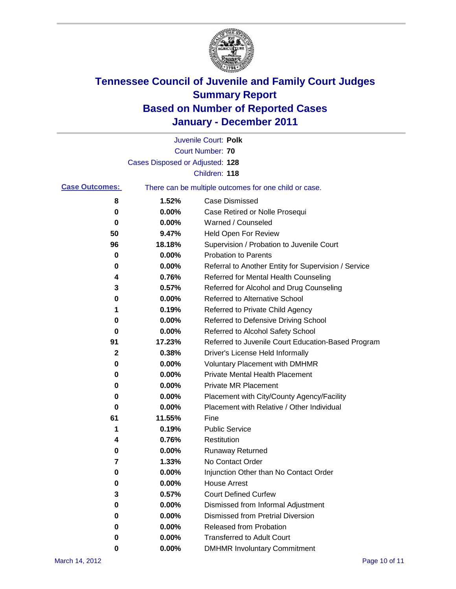

|                       |                                 | Juvenile Court: Polk                                  |
|-----------------------|---------------------------------|-------------------------------------------------------|
|                       |                                 | <b>Court Number: 70</b>                               |
|                       | Cases Disposed or Adjusted: 128 |                                                       |
|                       |                                 | Children: 118                                         |
| <b>Case Outcomes:</b> |                                 | There can be multiple outcomes for one child or case. |
| 8                     | 1.52%                           | <b>Case Dismissed</b>                                 |
| 0                     | 0.00%                           | Case Retired or Nolle Prosequi                        |
| 0                     | 0.00%                           | Warned / Counseled                                    |
| 50                    | 9.47%                           | Held Open For Review                                  |
| 96                    | 18.18%                          | Supervision / Probation to Juvenile Court             |
| 0                     | 0.00%                           | <b>Probation to Parents</b>                           |
| 0                     | 0.00%                           | Referral to Another Entity for Supervision / Service  |
| 4                     | 0.76%                           | Referred for Mental Health Counseling                 |
| 3                     | 0.57%                           | Referred for Alcohol and Drug Counseling              |
| 0                     | 0.00%                           | <b>Referred to Alternative School</b>                 |
| 1                     | 0.19%                           | Referred to Private Child Agency                      |
| 0                     | 0.00%                           | Referred to Defensive Driving School                  |
| 0                     | 0.00%                           | Referred to Alcohol Safety School                     |
| 91                    | 17.23%                          | Referred to Juvenile Court Education-Based Program    |
| $\mathbf{2}$          | 0.38%                           | Driver's License Held Informally                      |
| 0                     | 0.00%                           | <b>Voluntary Placement with DMHMR</b>                 |
| 0                     | 0.00%                           | <b>Private Mental Health Placement</b>                |
| 0                     | 0.00%                           | <b>Private MR Placement</b>                           |
| 0                     | 0.00%                           | Placement with City/County Agency/Facility            |
| 0                     | 0.00%                           | Placement with Relative / Other Individual            |
| 61                    | 11.55%                          | Fine                                                  |
| 1                     | 0.19%                           | <b>Public Service</b>                                 |
| 4                     | 0.76%                           | Restitution                                           |
| 0                     | 0.00%                           | Runaway Returned                                      |
| 7                     | 1.33%                           | No Contact Order                                      |
| 0                     | $0.00\%$                        | Injunction Other than No Contact Order                |
| 0                     | 0.00%                           | <b>House Arrest</b>                                   |
| 3                     | 0.57%                           | <b>Court Defined Curfew</b>                           |
| 0                     | 0.00%                           | Dismissed from Informal Adjustment                    |
| 0                     | 0.00%                           | <b>Dismissed from Pretrial Diversion</b>              |
| 0                     | 0.00%                           | <b>Released from Probation</b>                        |
| 0                     | 0.00%                           | <b>Transferred to Adult Court</b>                     |
| 0                     | 0.00%                           | <b>DMHMR Involuntary Commitment</b>                   |